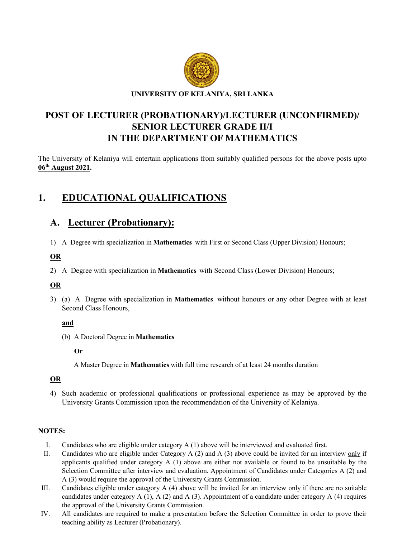

#### UNIVERSITY OF KELANIYA, SRI LANKA

# POST OF LECTURER (PROBATIONARY)/LECTURER (UNCONFIRMED)/ SENIOR LECTURER GRADE II/I IN THE DEPARTMENT OF MATHEMATICS

The University of Kelaniya will entertain applications from suitably qualified persons for the above posts upto 06th August 2021.

# 1. EDUCATIONAL QUALIFICATIONS

# A. Lecturer (Probationary):

1) A Degree with specialization in Mathematics with First or Second Class (Upper Division) Honours;

### OR

2) A Degree with specialization in Mathematics with Second Class (Lower Division) Honours;

## OR

3) (a) A Degree with specialization in Mathematics without honours or any other Degree with at least Second Class Honours,

### and

(b) A Doctoral Degree in Mathematics

### Or

A Master Degree in Mathematics with full time research of at least 24 months duration

## OR

4) Such academic or professional qualifications or professional experience as may be approved by the University Grants Commission upon the recommendation of the University of Kelaniya.

## NOTES:

- I. Candidates who are eligible under category A (1) above will be interviewed and evaluated first.
- II. Candidates who are eligible under Category A (2) and A (3) above could be invited for an interview only if applicants qualified under category A (1) above are either not available or found to be unsuitable by the Selection Committee after interview and evaluation. Appointment of Candidates under Categories A (2) and A (3) would require the approval of the University Grants Commission.
- III. Candidates eligible under category A (4) above will be invited for an interview only if there are no suitable candidates under category A  $(1)$ , A  $(2)$  and A  $(3)$ . Appointment of a candidate under category A  $(4)$  requires the approval of the University Grants Commission.
- IV. All candidates are required to make a presentation before the Selection Committee in order to prove their teaching ability as Lecturer (Probationary).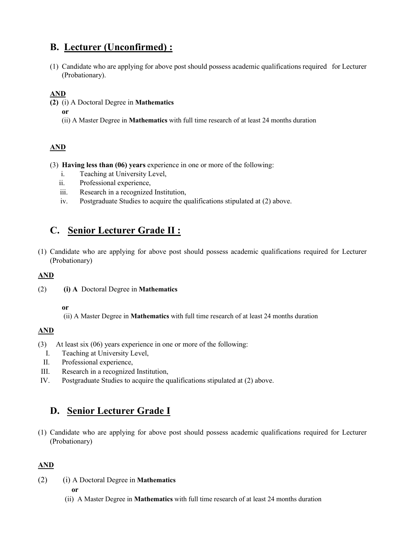# B. Lecturer (Unconfirmed) :

(1) Candidate who are applying for above post should possess academic qualifications required for Lecturer (Probationary).

## AND

- (2) (i) A Doctoral Degree in Mathematics
	- or
	- (ii) A Master Degree in Mathematics with full time research of at least 24 months duration

## AND

- (3) Having less than (06) years experience in one or more of the following:
	- i. Teaching at University Level,
	- ii. Professional experience,
	- iii. Research in a recognized Institution,
	- iv. Postgraduate Studies to acquire the qualifications stipulated at (2) above.

# C. Senior Lecturer Grade II :

(1) Candidate who are applying for above post should possess academic qualifications required for Lecturer (Probationary)

## AND

- (2) (i) A Doctoral Degree in Mathematics
	- or

(ii) A Master Degree in Mathematics with full time research of at least 24 months duration

## AND

- (3) At least six (06) years experience in one or more of the following:
	- I. Teaching at University Level,
	- II. Professional experience,
- III. Research in a recognized Institution,
- IV. Postgraduate Studies to acquire the qualifications stipulated at (2) above.

# D. Senior Lecturer Grade I

(1) Candidate who are applying for above post should possess academic qualifications required for Lecturer (Probationary)

## AND

(2) (i) A Doctoral Degree in Mathematics

or

(ii) A Master Degree in Mathematics with full time research of at least 24 months duration